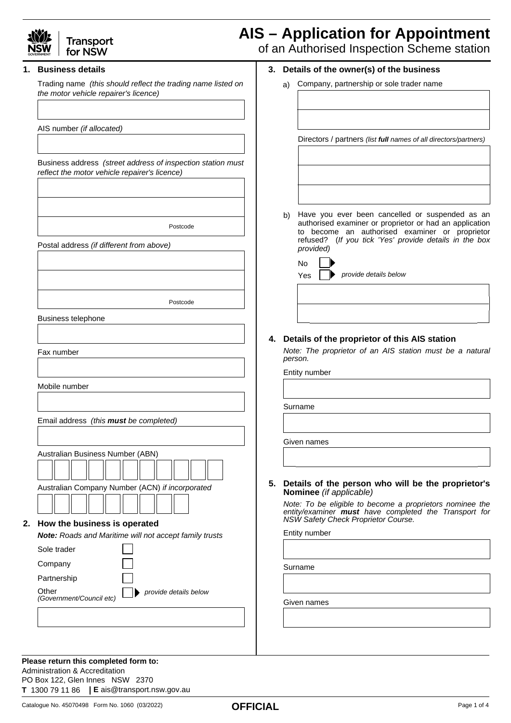

## **Transport** for NSW

# **AIS – Application for Appointment**

**3. Details of the owner(s) of the business** a) Company, partnership or sole trader name

of an Authorised Inspection Scheme station

## **1. Business details**

Trading name *(this should reflect the trading name listed on the motor vehicle repairer's licence)*

AIS number *(if allocated)*

Business address *(street address of inspection station must reflect the motor vehicle repairer's licence)*

Postcode

Postal address *(if different from above)*

Postcode

Business telephone

Fax number

Mobile number

**Other** 

Email address *(this must be completed)*

|    | Australian Business Number (ABN)                              |  |
|----|---------------------------------------------------------------|--|
|    |                                                               |  |
|    | Australian Company Number (ACN) if incorporated               |  |
|    |                                                               |  |
| 2. | How the business is operated                                  |  |
|    | <b>Note:</b> Roads and Maritime will not accept family trusts |  |
|    | Sole trader                                                   |  |
|    | Company                                                       |  |
|    | Partnership                                                   |  |
|    |                                                               |  |

*provide details below*

| Have you ever been cancelled or suspended as an<br>authorised examiner or proprietor or had an application<br>to become an authorised examiner or proprietor<br>refused? (If you tick 'Yes' provide details in the box<br>provided) |
|-------------------------------------------------------------------------------------------------------------------------------------------------------------------------------------------------------------------------------------|

Directors / partners *(list full names of all directors/partners)*

| <b>No</b> |                                    |
|-----------|------------------------------------|
|           | $Yes \frown$ provide details below |

## **4. Details of the proprietor of this AIS station**

*Note: The proprietor of an AIS station must be a natural person.* 

Entity number

Surname

Given names

**Details of the person who will be the proprietor's 5. Nominee** *(if applicable)*

*Note: To be eligible to become a proprietors nominee the entity/examiner must have completed the Transport for NSW Safety Check Proprietor Course.*

Entity number

Surname

Given names

**Please return this completed form to:** Administration & Accreditation PO Box 122, Glen Innes NSW 2370

*(Government/Council etc)*

**T** 1300 79 11 86 **E** ais@transport.nsw.gov.au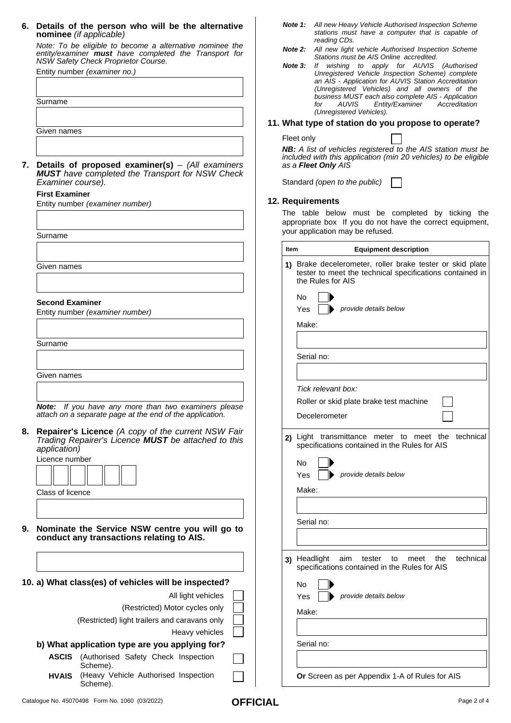| 6. Details of the person who will be the alternative |  |  |  |  |
|------------------------------------------------------|--|--|--|--|
| nominee (if applicable)                              |  |  |  |  |

*Note: To be eligible to become a alternative nominee the entity/examiner must have completed the Transport for NSW Safety Check Proprietor Course.*

Entity number *(examiner no.)*

|    | Entity number (examiner no.)                                                                                                 | Unregistered Vehicle Inspection Scheme) complete<br>an AIS - Application for AUVIS Station Accreditation<br>(Unregistered Vehicles) and all owners of the<br>business MUST each also complete AIS - Application |
|----|------------------------------------------------------------------------------------------------------------------------------|-----------------------------------------------------------------------------------------------------------------------------------------------------------------------------------------------------------------|
|    | Surname                                                                                                                      | <b>AUVIS</b><br>Entity/Examiner<br>Accreditation<br>for<br>(Unregistered Vehicles).                                                                                                                             |
|    | Given names                                                                                                                  | 11. What type of station do you propose to operate?                                                                                                                                                             |
|    |                                                                                                                              | Fleet only<br>NB: A list of vehicles registered to the AIS station must be                                                                                                                                      |
|    | 7. Details of proposed examiner(s) $-$ (All examiners<br><b>MUST</b> have completed the Transport for NSW Check              | included with this application (min 20 vehicles) to be eligible<br>as a <b>Fleet Only</b> AIS                                                                                                                   |
|    | Examiner course).                                                                                                            | Standard (open to the public)                                                                                                                                                                                   |
|    | <b>First Examiner</b>                                                                                                        | 12. Requirements                                                                                                                                                                                                |
|    | Entity number (examiner number)                                                                                              | The table below must be completed by ticking the                                                                                                                                                                |
|    | Surname                                                                                                                      | appropriate box If you do not have the correct equipment,<br>your application may be refused.                                                                                                                   |
|    |                                                                                                                              | <b>Equipment description</b><br>Item                                                                                                                                                                            |
|    | Given names                                                                                                                  | 1) Brake decelerometer, roller brake tester or skid plate<br>tester to meet the technical specifications contained in<br>the Rules for AIS                                                                      |
|    | <b>Second Examiner</b>                                                                                                       | No.                                                                                                                                                                                                             |
|    | Entity number (examiner number)                                                                                              | provide details below<br>Yes                                                                                                                                                                                    |
|    |                                                                                                                              | Make:                                                                                                                                                                                                           |
|    | Surname                                                                                                                      | Serial no:                                                                                                                                                                                                      |
|    | Given names                                                                                                                  |                                                                                                                                                                                                                 |
|    |                                                                                                                              | Tick relevant box:                                                                                                                                                                                              |
|    | Note: If you have any more than two examiners please<br>attach on a separate page at the end of the application.             | Roller or skid plate brake test machine<br>Decelerometer                                                                                                                                                        |
|    | 8. Repairer's Licence (A copy of the current NSW Fair<br>Trading Repairer's Licence MUST be attached to this<br>application) | 2) Light transmittance meter to meet the technical<br>specifications contained in the Rules for AIS                                                                                                             |
|    | Licence number                                                                                                               | No<br>provide details below<br>Yes                                                                                                                                                                              |
|    | Class of licence                                                                                                             | Make:                                                                                                                                                                                                           |
|    |                                                                                                                              |                                                                                                                                                                                                                 |
| 9. | Nominate the Service NSW centre you will go to                                                                               | Serial no:                                                                                                                                                                                                      |
|    | conduct any transactions relating to AIS.                                                                                    |                                                                                                                                                                                                                 |
|    |                                                                                                                              | 3) Headlight<br>technical<br>aim<br>tester<br>to<br>meet<br>the<br>specifications contained in the Rules for AIS                                                                                                |
|    | 10. a) What class(es) of vehicles will be inspected?                                                                         | No                                                                                                                                                                                                              |
|    | All light vehicles                                                                                                           | provide details below<br>Yes                                                                                                                                                                                    |
|    | (Restricted) Motor cycles only                                                                                               | Make:                                                                                                                                                                                                           |
|    | (Restricted) light trailers and caravans only<br>Heavy vehicles                                                              |                                                                                                                                                                                                                 |
|    | b) What application type are you applying for?                                                                               | Serial no:                                                                                                                                                                                                      |
|    | ASCIS (Authorised Safety Check Inspection<br>Scheme).                                                                        |                                                                                                                                                                                                                 |
|    | (Heavy Vehicle Authorised Inspection<br><b>HVAIS</b><br>Scheme).                                                             | Or Screen as per Appendix 1-A of Rules for AIS                                                                                                                                                                  |

*Note 1: All new Heavy Vehicle Authorised Inspection Scheme* 

*Stations must be AIS Online accredited.*

*Note 3: If wishing to apply for AUVIS (Authorised* 

*reading CDs.*

*Note 2:*

*stations must have a computer that is capable of* 

*All new light vehicle Authorised Inspection Scheme*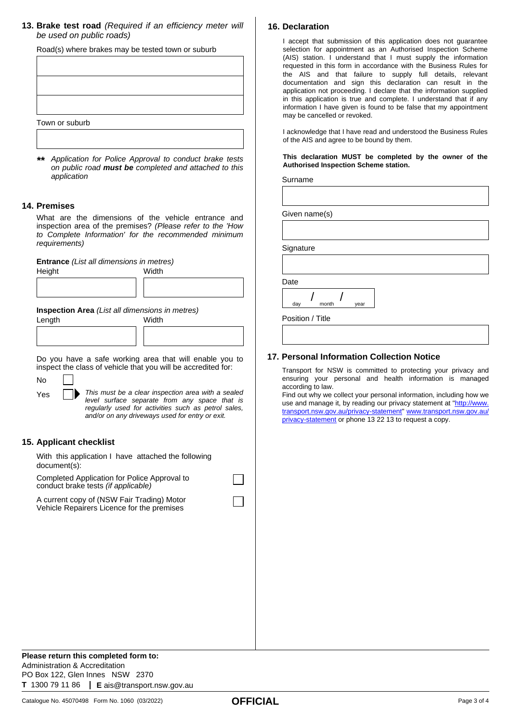**13. Brake test road** *(Required if an efficiency meter will be used on public roads)*

Road(s) where brakes may be tested town or suburb

| Town or suburb |  |  |
|----------------|--|--|
|                |  |  |

*\*\* Application for Police Approval to conduct brake tests on public road must be completed and attached to this application*

## **14. Premises**

What are the dimensions of the vehicle entrance and inspection area of the premises? *(Please refer to the 'How to Complete Information' for the recommended minimum requirements)*

**Entrance** *(List all dimensions in metres)* 

| Height | Width |
|--------|-------|
|        |       |
|        |       |
|        |       |

**Inspection Area** *(List all dimensions in metres)* 

| Length | Width |  |  |  |
|--------|-------|--|--|--|
|        |       |  |  |  |
|        |       |  |  |  |
|        |       |  |  |  |

Do you have a safe working area that will enable you to inspect the class of vehicle that you will be accredited for:

No Yes

*This must be a clear inspection area with a sealed level surface separate from any space that is regularly used for activities such as petrol sales, and/or on any driveways used for entry or exit.*

## **15. Applicant checklist**

With this application I have attached the following document(s):

Completed Application for Police Approval to conduct brake tests *(if applicable)* 

A current copy of (NSW Fair Trading) Motor Vehicle Repairers Licence for the premises

## **16. Declaration**

I accept that submission of this application does not guarantee selection for appointment as an Authorised Inspection Scheme (AIS) station. I understand that I must supply the information requested in this form in accordance with the Business Rules for the AIS and that failure to supply full details, relevant documentation and sign this declaration can result in the application not proceeding. I declare that the information supplied in this application is true and complete. I understand that if any information I have given is found to be false that my appointment may be cancelled or revoked.

I acknowledge that I have read and understood the Business Rules of the AIS and agree to be bound by them.

**This declaration MUST be completed by the owner of the Authorised Inspection Scheme station.**

Surname

Given name(s)

**Signature** 

**Date** 

day month year / /

Position / Title

## **17. Personal Information Collection Notice**

Transport for NSW is committed to protecting your privacy and ensuring your personal and health information is managed according to law.

Find out why we collect your personal information, including how we use and manage it, by reading our privacy statement at ["http://www.](http://www.transport.nsw.gov.au/privacy-statement) [transport.nsw.gov.au/privacy-statement](http://www.transport.nsw.gov.au/privacy-statement)" [www.transport.nsw.gov.au/](www.transport.nsw.gov.au/privacy-statement) [privacy-statement](www.transport.nsw.gov.au/privacy-statement) or phone 13 22 13 to request a copy.